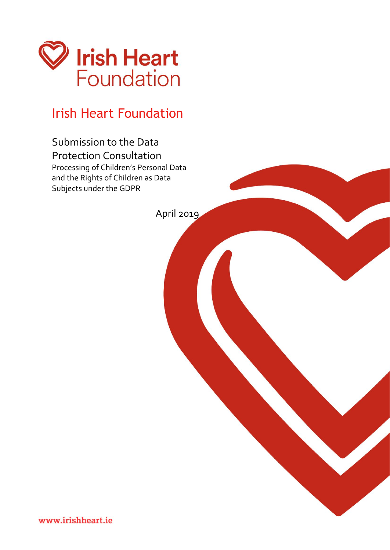

# Irish Heart Foundation

Submission to the Data Protection Consultation Processing of Children's Personal Data and the Rights of Children as Data Subjects under the GDPR

April 2019

www.irishheart.ie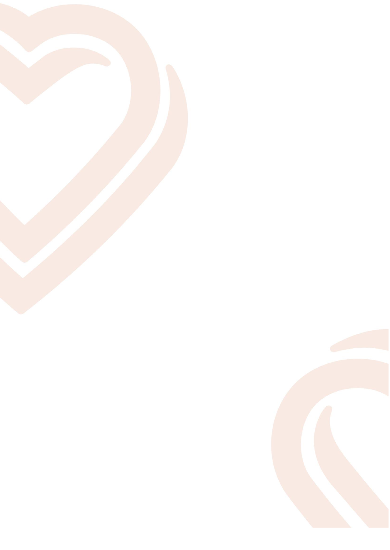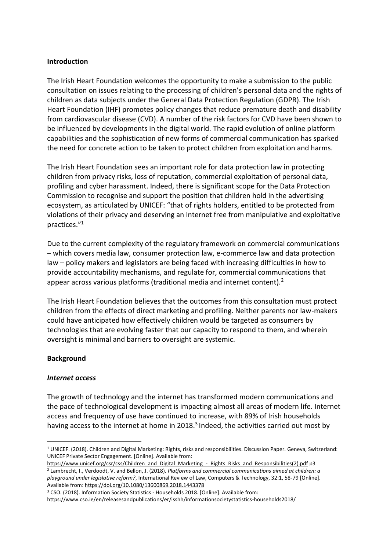#### **Introduction**

The Irish Heart Foundation welcomes the opportunity to make a submission to the public consultation on issues relating to the processing of children's personal data and the rights of children as data subjects under the General Data Protection Regulation (GDPR). The Irish Heart Foundation (IHF) promotes policy changes that reduce premature death and disability from cardiovascular disease (CVD). A number of the risk factors for CVD have been shown to be influenced by developments in the digital world. The rapid evolution of online platform capabilities and the sophistication of new forms of commercial communication has sparked the need for concrete action to be taken to protect children from exploitation and harms.

The Irish Heart Foundation sees an important role for data protection law in protecting children from privacy risks, loss of reputation, commercial exploitation of personal data, profiling and cyber harassment. Indeed, there is significant scope for the Data Protection Commission to recognise and support the position that children hold in the advertising ecosystem, as articulated by UNICEF: "that of rights holders, entitled to be protected from violations of their privacy and deserving an Internet free from manipulative and exploitative practices."<sup>1</sup>

Due to the current complexity of the regulatory framework on commercial communications – which covers media law, consumer protection law, e-commerce law and data protection law – policy makers and legislators are being faced with increasing difficulties in how to provide accountability mechanisms, and regulate for, commercial communications that appear across various platforms (traditional media and internet content).<sup>2</sup>

The Irish Heart Foundation believes that the outcomes from this consultation must protect children from the effects of direct marketing and profiling. Neither parents nor law-makers could have anticipated how effectively children would be targeted as consumers by technologies that are evolving faster that our capacity to respond to them, and wherein oversight is minimal and barriers to oversight are systemic.

#### **Background**

#### *Internet access*

The growth of technology and the internet has transformed modern communications and the pace of technological development is impacting almost all areas of modern life. Internet access and frequency of use have continued to increase, with 89% of Irish households having access to the internet at home in 2018.<sup>3</sup> Indeed, the activities carried out most by

 $\overline{a}$ <sup>1</sup> UNICEF. (2018). Children and Digital Marketing: Rights, risks and responsibilities. Discussion Paper. Geneva, Switzerland: UNICEF Private Sector Engagement. [Online]. Available from:

[https://www.unicef.org/csr/css/Children\\_and\\_Digital\\_Marketing\\_-\\_Rights\\_Risks\\_and\\_Responsibilities\(2\).pdf](https://www.unicef.org/csr/css/Children_and_Digital_Marketing_-_Rights_Risks_and_Responsibilities(2).pdf) p3 <sup>2</sup> Lambrecht, I., Verdoodt, V. and Bellon, J. (2018). *Platforms and commercial communications aimed at children: a playground under legislative reform?*, International Review of Law, Computers & Technology, 32:1, 58-79 [Online]. Available from[: https://doi.org/10.1080/13600869.2018.1443378](https://doi.org/10.1080/13600869.2018.1443378)

<sup>3</sup> CSO. (2018). Information Society Statistics - Households 2018. [Online]. Available from:

https://www.cso.ie/en/releasesandpublications/er/isshh/informationsocietystatistics-households2018/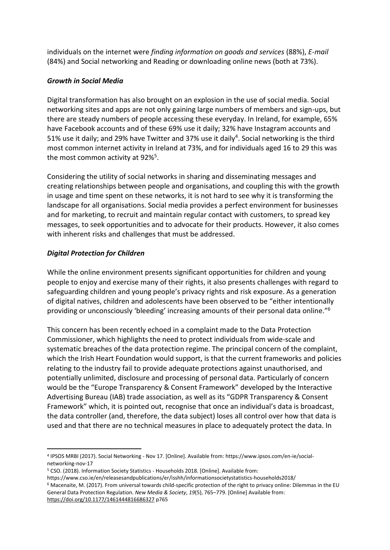individuals on the internet were *finding information on goods and services* (88%), *E-mail*  (84%) and Social networking and Reading or downloading online news (both at 73%).

## *Growth in Social Media*

Digital transformation has also brought on an explosion in the use of social media. Social networking sites and apps are not only gaining large numbers of members and sign-ups, but there are steady numbers of people accessing these everyday. In Ireland, for example, 65% have Facebook accounts and of these 69% use it daily; 32% have Instagram accounts and 51% use it daily; and 29% have Twitter and 37% use it daily<sup>4</sup>. Social networking is the third most common internet activity in Ireland at 73%, and for individuals aged 16 to 29 this was the most common activity at 92%<sup>5</sup>.

Considering the utility of social networks in sharing and disseminating messages and creating relationships between people and organisations, and coupling this with the growth in usage and time spent on these networks, it is not hard to see why it is transforming the landscape for all organisations. Social media provides a perfect environment for businesses and for marketing, to recruit and maintain regular contact with customers, to spread key messages, to seek opportunities and to advocate for their products. However, it also comes with inherent risks and challenges that must be addressed.

## *Digital Protection for Children*

While the online environment presents significant opportunities for children and young people to enjoy and exercise many of their rights, it also presents challenges with regard to safeguarding children and young people's privacy rights and risk exposure. As a generation of digital natives, children and adolescents have been observed to be "either intentionally providing or unconsciously 'bleeding' increasing amounts of their personal data online."<sup>6</sup>

This concern has been recently echoed in a complaint made to the Data Protection Commissioner, which highlights the need to protect individuals from wide-scale and systematic breaches of the data protection regime. The principal concern of the complaint, which the Irish Heart Foundation would support, is that the current frameworks and policies relating to the industry fail to provide adequate protections against unauthorised, and potentially unlimited, disclosure and processing of personal data. Particularly of concern would be the "Europe Transparency & Consent Framework" developed by the Interactive Advertising Bureau (IAB) trade association, as well as its "GDPR Transparency & Consent Framework" which, it is pointed out, recognise that once an individual's data is broadcast, the data controller (and, therefore, the data subject) loses all control over how that data is used and that there are no technical measures in place to adequately protect the data. In

<sup>5</sup> CSO. (2018). Information Society Statistics - Households 2018. [Online]. Available from:

 $\overline{a}$ 4 IPSOS MRBI (2017). Social Networking - Nov 17. [Online]. Available from: https://www.ipsos.com/en-ie/socialnetworking-nov-17

https://www.cso.ie/en/releasesandpublications/er/isshh/informationsocietystatistics-households2018/ <sup>6</sup> Macenaite, M. (2017). From universal towards child-specific protection of the right to privacy online: Dilemmas in the EU General Data Protection Regulation. *New Media & Society*, *19*(5), 765–779. [Online] Available from: <https://doi.org/10.1177/1461444816686327> p765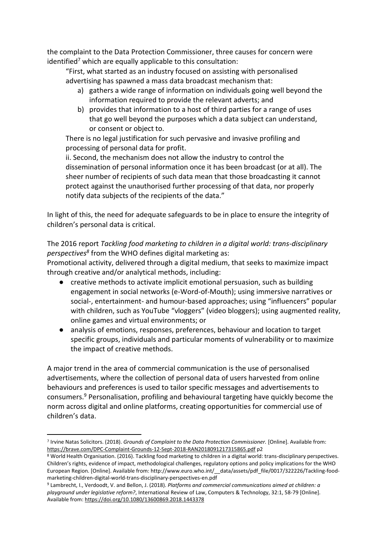the complaint to the Data Protection Commissioner, three causes for concern were identified<sup>7</sup> which are equally applicable to this consultation:

"First, what started as an industry focused on assisting with personalised advertising has spawned a mass data broadcast mechanism that:

- a) gathers a wide range of information on individuals going well beyond the information required to provide the relevant adverts; and
- b) provides that information to a host of third parties for a range of uses that go well beyond the purposes which a data subject can understand, or consent or object to.

There is no legal justification for such pervasive and invasive profiling and processing of personal data for profit.

ii. Second, the mechanism does not allow the industry to control the dissemination of personal information once it has been broadcast (or at all). The sheer number of recipients of such data mean that those broadcasting it cannot protect against the unauthorised further processing of that data, nor properly notify data subjects of the recipients of the data."

In light of this, the need for adequate safeguards to be in place to ensure the integrity of children's personal data is critical.

The 2016 report *Tackling food marketing to children in a digital world: trans-disciplinary perspectives<sup>8</sup>* from the WHO defines digital marketing as:

Promotional activity, delivered through a digital medium, that seeks to maximize impact through creative and/or analytical methods, including:

- creative methods to activate implicit emotional persuasion, such as building engagement in social networks (e-Word-of-Mouth); using immersive narratives or social-, entertainment- and humour-based approaches; using "influencers" popular with children, such as YouTube "vloggers" (video bloggers); using augmented reality, online games and virtual environments; or
- analysis of emotions, responses, preferences, behaviour and location to target specific groups, individuals and particular moments of vulnerability or to maximize the impact of creative methods.

A major trend in the area of commercial communication is the use of personalised advertisements, where the collection of personal data of users harvested from online behaviours and preferences is used to tailor specific messages and advertisements to consumers.<sup>9</sup> Personalisation, profiling and behavioural targeting have quickly become the norm across digital and online platforms, creating opportunities for commercial use of children's data.

 $\overline{a}$ 7 Irvine Natas Solicitors. (2018). *Grounds of Complaint to the Data Protection Commissioner.* [Online]. Available from: <https://brave.com/DPC-Complaint-Grounds-12-Sept-2018-RAN2018091217315865.pdf> p2

<sup>8</sup> World Health Organisation. (2016). Tackling food marketing to children in a digital world: trans-disciplinary perspectives. Children's rights, evidence of impact, methodological challenges, regulatory options and policy implications for the WHO European Region. [Online]. Available from: http://www.euro.who.int/\_\_data/assets/pdf\_file/0017/322226/Tackling-foodmarketing-children-digital-world-trans-disciplinary-perspectives-en.pdf

<sup>9</sup> Lambrecht, I., Verdoodt, V. and Bellon, J. (2018). *Platforms and commercial communications aimed at children: a playground under legislative reform?*, International Review of Law, Computers & Technology, 32:1, 58-79 [Online]. Available from[: https://doi.org/10.1080/13600869.2018.1443378](https://doi.org/10.1080/13600869.2018.1443378)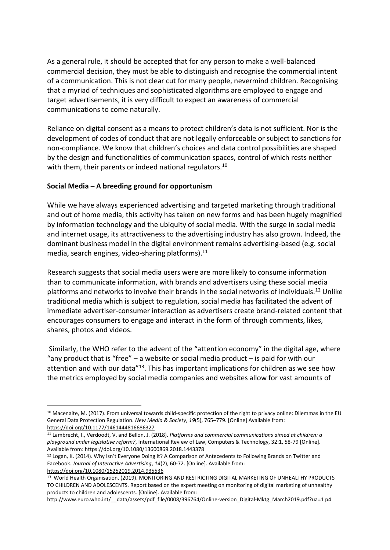As a general rule, it should be accepted that for any person to make a well-balanced commercial decision, they must be able to distinguish and recognise the commercial intent of a communication. This is not clear cut for many people, nevermind children. Recognising that a myriad of techniques and sophisticated algorithms are employed to engage and target advertisements, it is very difficult to expect an awareness of commercial communications to come naturally.

Reliance on digital consent as a means to protect children's data is not sufficient. Nor is the development of codes of conduct that are not legally enforceable or subject to sanctions for non-compliance. We know that children's choices and data control possibilities are shaped by the design and functionalities of communication spaces, control of which rests neither with them, their parents or indeed national regulators.<sup>10</sup>

## **Social Media – A breeding ground for opportunism**

 $\overline{a}$ 

While we have always experienced advertising and targeted marketing through traditional and out of home media, this activity has taken on new forms and has been hugely magnified by information technology and the ubiquity of social media. With the surge in social media and internet usage, its attractiveness to the advertising industry has also grown. Indeed, the dominant business model in the digital environment remains advertising-based (e.g. social media, search engines, video-sharing platforms). $^{11}$ 

Research suggests that social media users were are more likely to consume information than to communicate information, with brands and advertisers using these social media platforms and networks to involve their brands in the social networks of individuals.<sup>12</sup> Unlike traditional media which is subject to regulation, social media has facilitated the advent of immediate advertiser-consumer interaction as advertisers create brand-related content that encourages consumers to engage and interact in the form of through comments, likes, shares, photos and videos.

Similarly, the WHO refer to the advent of the "attention economy" in the digital age, where "any product that is "free"  $-$  a website or social media product  $-$  is paid for with our attention and with our data<sup>"13</sup>. This has important implications for children as we see how the metrics employed by social media companies and websites allow for vast amounts of

```
http://www.euro.who.int/__data/assets/pdf_file/0008/396764/Online-version_Digital-Mktg_March2019.pdf?ua=1 p4
```
<sup>10</sup> Macenaite, M. (2017). From universal towards child-specific protection of the right to privacy online: Dilemmas in the EU General Data Protection Regulation. *New Media & Society*, *19*(5), 765–779. [Online] Available from: <https://doi.org/10.1177/1461444816686327>

<sup>11</sup> Lambrecht, I., Verdoodt, V. and Bellon, J. (2018). *Platforms and commercial communications aimed at children: a playground under legislative reform?*, International Review of Law, Computers & Technology, 32:1, 58-79 [Online]. Available from[: https://doi.org/10.1080/13600869.2018.1443378](https://doi.org/10.1080/13600869.2018.1443378)

<sup>&</sup>lt;sup>12</sup> Logan, K. (2014). Why Isn't Everyone Doing It? A Comparison of Antecedents to Following Brands on Twitter and Facebook. *Journal of Interactive Advertising*, *14*(2), 60-72. [Online]. Available from: <https://doi.org/10.1080/15252019.2014.935536>

<sup>13</sup> World Health Organisation. (2019). MONITORING AND RESTRICTING DIGITAL MARKETING OF UNHEALTHY PRODUCTS TO CHILDREN AND ADOLESCENTS. Report based on the expert meeting on monitoring of digital marketing of unhealthy products to children and adolescents. [Online]. Available from: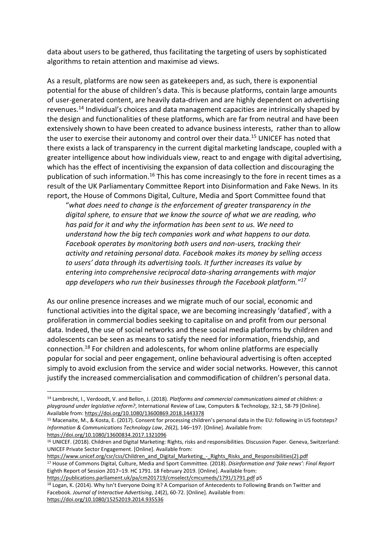data about users to be gathered, thus facilitating the targeting of users by sophisticated algorithms to retain attention and maximise ad views.

As a result, platforms are now seen as gatekeepers and, as such, there is exponential potential for the abuse of children's data. This is because platforms, contain large amounts of user-generated content, are heavily data-driven and are highly dependent on advertising revenues.<sup>14</sup> Individual's choices and data management capacities are intrinsically shaped by the design and functionalities of these platforms, which are far from neutral and have been extensively shown to have been created to advance business interests, rather than to allow the user to exercise their autonomy and control over their data.<sup>15</sup> UNICEF has noted that there exists a lack of transparency in the current digital marketing landscape, coupled with a greater intelligence about how individuals view, react to and engage with digital advertising, which has the effect of incentivising the expansion of data collection and discouraging the publication of such information.<sup>16</sup> This has come increasingly to the fore in recent times as a result of the UK Parliamentary Committee Report into Disinformation and Fake News. In its report, the House of Commons Digital, Culture, Media and Sport Committee found that

"*what does need to change is the enforcement of greater transparency in the digital sphere, to ensure that we know the source of what we are reading, who has paid for it and why the information has been sent to us. We need to understand how the big tech companies work and what happens to our data. Facebook operates by monitoring both users and non-users, tracking their activity and retaining personal data. Facebook makes its money by selling access to users' data through its advertising tools. It further increases its value by entering into comprehensive reciprocal data-sharing arrangements with major app developers who run their businesses through the Facebook platform."<sup>17</sup>*

As our online presence increases and we migrate much of our social, economic and functional activities into the digital space, we are becoming increasingly 'datafied', with a proliferation in commercial bodies seeking to capitalise on and profit from our personal data. Indeed, the use of social networks and these social media platforms by children and adolescents can be seen as means to satisfy the need for information, friendship, and connection.<sup>18</sup> For children and adolescents, for whom online platforms are especially popular for social and peer engagement, online behavioural advertising is often accepted simply to avoid exclusion from the service and wider social networks. However, this cannot justify the increased commercialisation and commodification of children's personal data.

<https://publications.parliament.uk/pa/cm201719/cmselect/cmcumeds/1791/1791.pdf> p5

<sup>14</sup> Lambrecht, I., Verdoodt, V. and Bellon, J. (2018). *Platforms and commercial communications aimed at children: a playground under legislative reform?*, International Review of Law, Computers & Technology, 32:1, 58-79 [Online]. Available from[: https://doi.org/10.1080/13600869.2018.1443378](https://doi.org/10.1080/13600869.2018.1443378)

<sup>15</sup> Macenaite, M., & Kosta, E. (2017). Consent for processing children's personal data in the EU: following in US footsteps? *Information & Communications Technology Law*, *26*(2), 146–197. [Online]. Available from: <https://doi.org/10.1080/13600834.2017.1321096>

<sup>16</sup> UNICEF. (2018). Children and Digital Marketing: Rights, risks and responsibilities. Discussion Paper. Geneva, Switzerland: UNICEF Private Sector Engagement. [Online]. Available from:

[https://www.unicef.org/csr/css/Children\\_and\\_Digital\\_Marketing\\_-\\_Rights\\_Risks\\_and\\_Responsibilities\(2\).pdf](https://www.unicef.org/csr/css/Children_and_Digital_Marketing_-_Rights_Risks_and_Responsibilities(2).pdf)

<sup>17</sup> House of Commons Digital, Culture, Media and Sport Committee. (2018). *Disinformation and 'fake news': Final Report*  Eighth Report of Session 2017–19*.* HC 1791. 18 February 2019. [Online]. Available from:

<sup>18</sup> Logan, K. (2014). Why Isn't Everyone Doing It? A Comparison of Antecedents to Following Brands on Twitter and Facebook. *Journal of Interactive Advertising*, *14*(2), 60-72. [Online]. Available from: <https://doi.org/10.1080/15252019.2014.935536>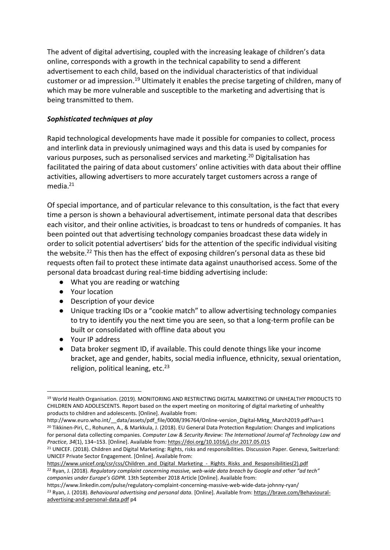The advent of digital advertising, coupled with the increasing leakage of children's data online, corresponds with a growth in the technical capability to send a different advertisement to each child, based on the individual characteristics of that individual customer or ad impression.<sup>19</sup> Ultimately it enables the precise targeting of children, many of which may be more vulnerable and susceptible to the marketing and advertising that is being transmitted to them.

#### *Sophisticated techniques at play*

Rapid technological developments have made it possible for companies to collect, process and interlink data in previously unimagined ways and this data is used by companies for various purposes, such as personalised services and marketing.<sup>20</sup> Digitalisation has facilitated the pairing of data about customers' online activities with data about their offline activities, allowing advertisers to more accurately target customers across a range of media.<sup>21</sup>

Of special importance, and of particular relevance to this consultation, is the fact that every time a person is shown a behavioural advertisement, intimate personal data that describes each visitor, and their online activities, is broadcast to tens or hundreds of companies. It has been pointed out that advertising technology companies broadcast these data widely in order to solicit potential advertisers' bids for the attention of the specific individual visiting the website.<sup>22</sup> This then has the effect of exposing children's personal data as these bid requests often fail to protect these intimate data against unauthorised access. Some of the personal data broadcast during real-time bidding advertising include:

- What you are reading or watching
- Your location
- Description of your device
- Unique tracking IDs or a "cookie match" to allow advertising technology companies to try to identify you the next time you are seen, so that a long-term profile can be built or consolidated with offline data about you
- Your IP address

 $\overline{a}$ 

● Data broker segment ID, if available. This could denote things like your income bracket, age and gender, habits, social media influence, ethnicity, sexual orientation, religion, political leaning, etc. $23$ 

[https://www.unicef.org/csr/css/Children\\_and\\_Digital\\_Marketing\\_-\\_Rights\\_Risks\\_and\\_Responsibilities\(2\).pdf](https://www.unicef.org/csr/css/Children_and_Digital_Marketing_-_Rights_Risks_and_Responsibilities(2).pdf) <sup>22</sup> Ryan, J. (2018). *Regulatory complaint concerning massive, web-wide data breach by Google and other "ad tech" companies under Europe's GDPR.* 13th September 2018 Article [Online]. Available from:

<sup>19</sup> World Health Organisation. (2019). MONITORING AND RESTRICTING DIGITAL MARKETING OF UNHEALTHY PRODUCTS TO CHILDREN AND ADOLESCENTS. Report based on the expert meeting on monitoring of digital marketing of unhealthy products to children and adolescents. [Online]. Available from:

[http://www.euro.who.int/\\_\\_data/assets/pdf\\_file/0008/396764/Online-version\\_Digital-Mktg\\_March2019.pdf?ua=1](http://www.euro.who.int/__data/assets/pdf_file/0008/396764/Online-version_Digital-Mktg_March2019.pdf?ua=1) <sup>20</sup> Tikkinen-Piri, C., Rohunen, A., & Markkula, J. (2018). EU General Data Protection Regulation: Changes and implications for personal data collecting companies. *Computer Law & Security Review: The International Journal of Technology Law and Practice*, *34*(1), 134–153. [Online]. Available from[: https://doi.org/10.1016/j.clsr.2017.05.015](https://doi.org/10.1016/j.clsr.2017.05.015)

<sup>&</sup>lt;sup>21</sup> UNICEF. (2018). Children and Digital Marketing: Rights, risks and responsibilities. Discussion Paper. Geneva, Switzerland: UNICEF Private Sector Engagement. [Online]. Available from:

https://www.linkedin.com/pulse/regulatory-complaint-concerning-massive-web-wide-data-johnny-ryan/ <sup>23</sup> Ryan, J. (2018). *Behavioural advertising and personal data.* [Online]. Available from: [https://brave.com/Behavioural](https://brave.com/Behavioural-advertising-and-personal-data.pdf)[advertising-and-personal-data.pdf](https://brave.com/Behavioural-advertising-and-personal-data.pdf) p4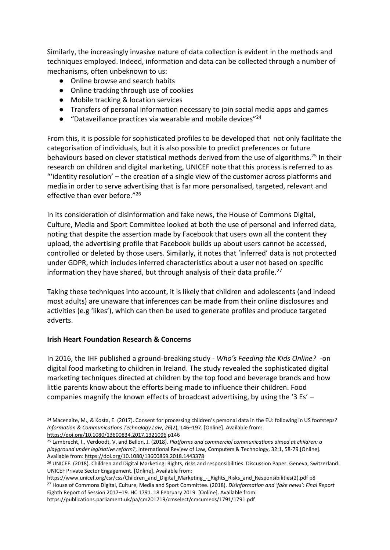Similarly, the increasingly invasive nature of data collection is evident in the methods and techniques employed. Indeed, information and data can be collected through a number of mechanisms, often unbeknown to us:

- Online browse and search habits
- Online tracking through use of cookies
- Mobile tracking & location services
- Transfers of personal information necessary to join social media apps and games
- $\bullet$  "Dataveillance practices via wearable and mobile devices"<sup>24</sup>

From this, it is possible for sophisticated profiles to be developed that not only facilitate the categorisation of individuals, but it is also possible to predict preferences or future behaviours based on clever statistical methods derived from the use of algorithms.<sup>25</sup> In their research on children and digital marketing, UNICEF note that this process is referred to as "'identity resolution'  $-$  the creation of a single view of the customer across platforms and media in order to serve advertising that is far more personalised, targeted, relevant and effective than ever before."<sup>26</sup>

In its consideration of disinformation and fake news, the House of Commons Digital, Culture, Media and Sport Committee looked at both the use of personal and inferred data, noting that despite the assertion made by Facebook that users own all the content they upload, the advertising profile that Facebook builds up about users cannot be accessed, controlled or deleted by those users. Similarly, it notes that 'inferred' data is not protected under GDPR, which includes inferred characteristics about a user not based on specific information they have shared, but through analysis of their data profile.<sup>27</sup>

Taking these techniques into account, it is likely that children and adolescents (and indeed most adults) are unaware that inferences can be made from their online disclosures and activities (e.g 'likes'), which can then be used to generate profiles and produce targeted adverts.

## **Irish Heart Foundation Research & Concerns**

 $\overline{a}$ 

In 2016, the IHF published a ground-breaking study - *Who's Feeding the Kids Online?* -on digital food marketing to children in Ireland. The study revealed the sophisticated digital marketing techniques directed at children by the top food and beverage brands and how little parents know about the efforts being made to influence their children. Food companies magnify the known effects of broadcast advertising, by using the '3 Es' –

<sup>&</sup>lt;sup>24</sup> Macenaite, M., & Kosta, E. (2017). Consent for processing children's personal data in the EU: following in US footsteps? *Information & Communications Technology Law*, *26*(2), 146–197. [Online]. Available from: <https://doi.org/10.1080/13600834.2017.1321096> p146

<sup>25</sup> Lambrecht, I., Verdoodt, V. and Bellon, J. (2018). *Platforms and commercial communications aimed at children: a playground under legislative reform?*, International Review of Law, Computers & Technology, 32:1, 58-79 [Online]. Available from[: https://doi.org/10.1080/13600869.2018.1443378](https://doi.org/10.1080/13600869.2018.1443378)

<sup>&</sup>lt;sup>26</sup> UNICEF. (2018). Children and Digital Marketing: Rights, risks and responsibilities. Discussion Paper. Geneva, Switzerland: UNICEF Private Sector Engagement. [Online]. Available from:

[https://www.unicef.org/csr/css/Children\\_and\\_Digital\\_Marketing\\_-\\_Rights\\_Risks\\_and\\_Responsibilities\(2\).pdf](https://www.unicef.org/csr/css/Children_and_Digital_Marketing_-_Rights_Risks_and_Responsibilities(2).pdf) p8 <sup>27</sup> House of Commons Digital, Culture, Media and Sport Committee. (2018). *Disinformation and 'fake news': Final Report*  Eighth Report of Session 2017–19*.* HC 1791. 18 February 2019. [Online]. Available from: https://publications.parliament.uk/pa/cm201719/cmselect/cmcumeds/1791/1791.pdf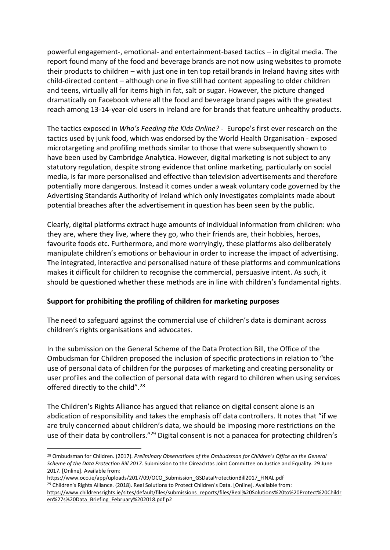powerful engagement-, emotional- and entertainment-based tactics – in digital media. The report found many of the food and beverage brands are not now using websites to promote their products to children – with just one in ten top retail brands in Ireland having sites with child-directed content – although one in five still had content appealing to older children and teens, virtually all for items high in fat, salt or sugar. However, the picture changed dramatically on Facebook where all the food and beverage brand pages with the greatest reach among 13-14-year-old users in Ireland are for brands that feature unhealthy products.

The tactics exposed in *Who's Feeding the Kids Online?* - Europe's first ever research on the tactics used by junk food, which was endorsed by the World Health Organisation - exposed microtargeting and profiling methods similar to those that were subsequently shown to have been used by Cambridge Analytica. However, digital marketing is not subject to any statutory regulation, despite strong evidence that online marketing, particularly on social media, is far more personalised and effective than television advertisements and therefore potentially more dangerous. Instead it comes under a weak voluntary code governed by the Advertising Standards Authority of Ireland which only investigates complaints made about potential breaches after the advertisement in question has been seen by the public.

Clearly, digital platforms extract huge amounts of individual information from children: who they are, where they live, where they go, who their friends are, their hobbies, heroes, favourite foods etc. Furthermore, and more worryingly, these platforms also deliberately manipulate children's emotions or behaviour in order to increase the impact of advertising. The integrated, interactive and personalised nature of these platforms and communications makes it difficult for children to recognise the commercial, persuasive intent. As such, it should be questioned whether these methods are in line with children's fundamental rights.

## **Support for prohibiting the profiling of children for marketing purposes**

 $\overline{a}$ 

The need to safeguard against the commercial use of children's data is dominant across children's rights organisations and advocates.

In the submission on the General Scheme of the Data Protection Bill, the Office of the Ombudsman for Children proposed the inclusion of specific protections in relation to "the use of personal data of children for the purposes of marketing and creating personality or user profiles and the collection of personal data with regard to children when using services offered directly to the child".<sup>28</sup>

The Children's Rights Alliance has argued that reliance on digital consent alone is an abdication of responsibility and takes the emphasis off data controllers. It notes that "if we are truly concerned about children's data, we should be imposing more restrictions on the use of their data by controllers."<sup>29</sup> Digital consent is not a panacea for protecting children's

https://www.oco.ie/app/uploads/2017/09/OCO\_Submission\_GSDataProtectionBill2017\_FINAL.pdf <sup>29</sup> Children's Rights Alliance. (2018). Real Solutions to Protect Children's Data. [Online]. Available from: [https://www.childrensrights.ie/sites/default/files/submissions\\_reports/files/Real%20Solutions%20to%20Protect%20Childr](https://www.childrensrights.ie/sites/default/files/submissions_reports/files/Real%20Solutions%20to%20Protect%20Children%27s%20Data_Briefing_February%202018.pdf) [en%27s%20Data\\_Briefing\\_February%202018.pdf](https://www.childrensrights.ie/sites/default/files/submissions_reports/files/Real%20Solutions%20to%20Protect%20Children%27s%20Data_Briefing_February%202018.pdf) p2

<sup>28</sup> Ombudsman for Children. (2017). *Preliminary Observations of the Ombudsman for Children's Office on the General Scheme of the Data Protection Bill 2017*. Submission to the Oireachtas Joint Committee on Justice and Equality. 29 June 2017. [Online]. Available from: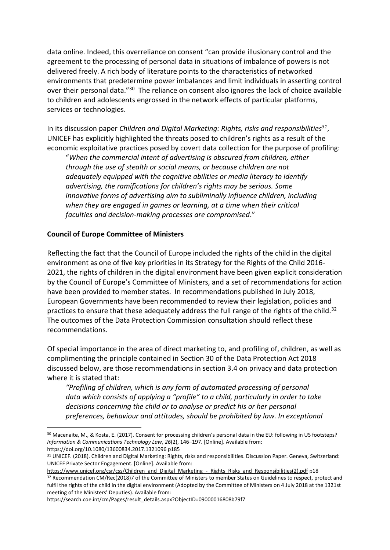data online. Indeed, this overreliance on consent "can provide illusionary control and the agreement to the processing of personal data in situations of imbalance of powers is not delivered freely. A rich body of literature points to the characteristics of networked environments that predetermine power imbalances and limit individuals in asserting control over their personal data."<sup>30</sup> The reliance on consent also ignores the lack of choice available to children and adolescents engrossed in the network effects of particular platforms, services or technologies.

In its discussion paper *Children and Digital Marketing: Rights, risks and responsibilities<sup>31</sup>* , UNICEF has explicitly highlighted the threats posed to children's rights as a result of the economic exploitative practices posed by covert data collection for the purpose of profiling:

"*When the commercial intent of advertising is obscured from children, either through the use of stealth or social means, or because children are not adequately equipped with the cognitive abilities or media literacy to identify advertising, the ramifications for children's rights may be serious. Some innovative forms of advertising aim to subliminally influence children, including when they are engaged in games or learning, at a time when their critical faculties and decision-making processes are compromised*."

#### **Council of Europe Committee of Ministers**

 $\overline{a}$ 

Reflecting the fact that the Council of Europe included the rights of the child in the digital environment as one of five key priorities in its Strategy for the Rights of the Child 2016- 2021, the rights of children in the digital environment have been given explicit consideration by the Council of Europe's Committee of Ministers, and a set of recommendations for action have been provided to member states. In recommendations published in July 2018, European Governments have been recommended to review their legislation, policies and practices to ensure that these adequately address the full range of the rights of the child.<sup>32</sup> The outcomes of the Data Protection Commission consultation should reflect these recommendations.

Of special importance in the area of direct marketing to, and profiling of, children, as well as complimenting the principle contained in Section 30 of the Data Protection Act 2018 discussed below, are those recommendations in section 3.4 on privacy and data protection where it is stated that:

*"Profiling of children, which is any form of automated processing of personal data which consists of applying a "profile" to a child, particularly in order to take decisions concerning the child or to analyse or predict his or her personal preferences, behaviour and attitudes, should be prohibited by law. In exceptional* 

<sup>&</sup>lt;sup>30</sup> Macenaite, M., & Kosta, E. (2017). Consent for processing children's personal data in the EU: following in US footsteps? *Information & Communications Technology Law*, *26*(2), 146–197. [Online]. Available from: <https://doi.org/10.1080/13600834.2017.1321096> p185

<sup>31</sup> UNICEF. (2018). Children and Digital Marketing: Rights, risks and responsibilities. Discussion Paper. Geneva, Switzerland: UNICEF Private Sector Engagement. [Online]. Available from:

[https://www.unicef.org/csr/css/Children\\_and\\_Digital\\_Marketing\\_-\\_Rights\\_Risks\\_and\\_Responsibilities\(2\).pdf](https://www.unicef.org/csr/css/Children_and_Digital_Marketing_-_Rights_Risks_and_Responsibilities(2).pdf) p18 32 Recommendation CM/Rec(2018)7 of the Committee of Ministers to member States on Guidelines to respect, protect and fulfil the rights of the child in the digital environment (Adopted by the Committee of Ministers on 4 July 2018 at the 1321st meeting of the Ministers' Deputies). Available from:

https://search.coe.int/cm/Pages/result\_details.aspx?ObjectID=09000016808b79f7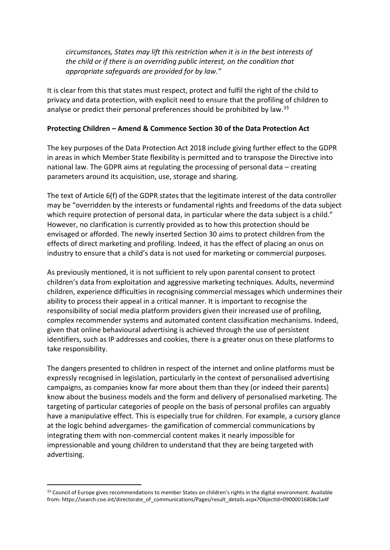*circumstances, States may lift this restriction when it is in the best interests of the child or if there is an overriding public interest, on the condition that appropriate safeguards are provided for by law."*

It is clear from this that states must respect, protect and fulfil the right of the child to privacy and data protection, with explicit need to ensure that the profiling of children to analyse or predict their personal preferences should be prohibited by law.<sup>33</sup>

#### **Protecting Children – Amend & Commence Section 30 of the Data Protection Act**

The key purposes of the Data Protection Act 2018 include giving further effect to the GDPR in areas in which Member State flexibility is permitted and to transpose the Directive into national law. The GDPR aims at regulating the processing of personal data – creating parameters around its acquisition, use, storage and sharing.

The text of Article 6(f) of the GDPR states that the legitimate interest of the data controller may be "overridden by the interests or fundamental rights and freedoms of the data subject which require protection of personal data, in particular where the data subject is a child." However, no clarification is currently provided as to how this protection should be envisaged or afforded. The newly inserted Section 30 aims to protect children from the effects of direct marketing and profiling. Indeed, it has the effect of placing an onus on industry to ensure that a child's data is not used for marketing or commercial purposes.

As previously mentioned, it is not sufficient to rely upon parental consent to protect children's data from exploitation and aggressive marketing techniques. Adults, nevermind children, experience difficulties in recognising commercial messages which undermines their ability to process their appeal in a critical manner. It is important to recognise the responsibility of social media platform providers given their increased use of profiling, complex recommender systems and automated content classification mechanisms. Indeed, given that online behavioural advertising is achieved through the use of persistent identifiers, such as IP addresses and cookies, there is a greater onus on these platforms to take responsibility.

The dangers presented to children in respect of the internet and online platforms must be expressly recognised in legislation, particularly in the context of personalised advertising campaigns, as companies know far more about them than they (or indeed their parents) know about the business models and the form and delivery of personalised marketing. The targeting of particular categories of people on the basis of personal profiles can arguably have a manipulative effect. This is especially true for children. For example, a cursory glance at the logic behind advergames- the gamification of commercial communications by integrating them with non-commercial content makes it nearly impossible for impressionable and young children to understand that they are being targeted with advertising.

<sup>33</sup> Council of Europe gives recommendations to member States on children's rights in the digital environment. Available from: https://search.coe.int/directorate\_of\_communications/Pages/result\_details.aspx?ObjectId=09000016808c1a4f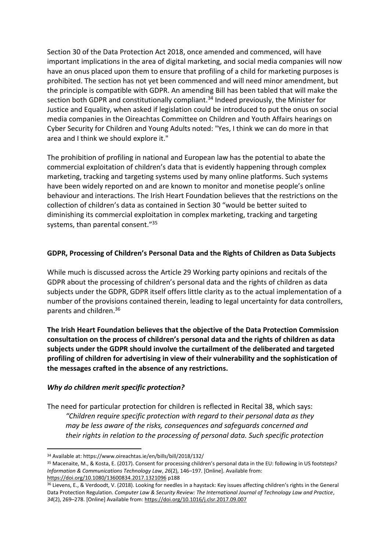Section 30 of the Data Protection Act 2018, once amended and commenced, will have important implications in the area of digital marketing, and social media companies will now have an onus placed upon them to ensure that profiling of a child for marketing purposes is prohibited. The section has not yet been commenced and will need minor amendment, but the principle is compatible with GDPR. An amending Bill has been tabled that will make the section both GDPR and constitutionally compliant.<sup>34</sup> Indeed previously, the Minister for Justice and Equality, when asked if legislation could be introduced to put the onus on social media companies in the Oireachtas Committee on Children and Youth Affairs hearings on Cyber Security for Children and Young Adults noted: "Yes, I think we can do more in that area and I think we should explore it."

The prohibition of profiling in national and European law has the potential to abate the commercial exploitation of children's data that is evidently happening through complex marketing, tracking and targeting systems used by many online platforms. Such systems have been widely reported on and are known to monitor and monetise people's online behaviour and interactions. The Irish Heart Foundation believes that the restrictions on the collection of children's data as contained in Section 30 "would be better suited to diminishing its commercial exploitation in complex marketing, tracking and targeting systems, than parental consent."<sup>35</sup>

## **GDPR, Processing of Children's Personal Data and the Rights of Children as Data Subjects**

While much is discussed across the Article 29 Working party opinions and recitals of the GDPR about the processing of children's personal data and the rights of children as data subjects under the GDPR, GDPR itself offers little clarity as to the actual implementation of a number of the provisions contained therein, leading to legal uncertainty for data controllers, parents and children.<sup>36</sup>

**The Irish Heart Foundation believes that the objective of the Data Protection Commission consultation on the process of children's personal data and the rights of children as data subjects under the GDPR should involve the curtailment of the deliberated and targeted profiling of children for advertising in view of their vulnerability and the sophistication of the messages crafted in the absence of any restrictions.** 

## *Why do children merit specific protection?*

The need for particular protection for children is reflected in Recital 38, which says: *"Children require specific protection with regard to their personal data as they may be less aware of the risks, consequences and safeguards concerned and their rights in relation to the processing of personal data. Such specific protection* 

 $\overline{a}$ <sup>34</sup> Available at: https://www.oireachtas.ie/en/bills/bill/2018/132/

<sup>35</sup> Macenaite, M., & Kosta, E. (2017). Consent for processing children's personal data in the EU: following in US footsteps? *Information & Communications Technology Law*, *26*(2), 146–197. [Online]. Available from: <https://doi.org/10.1080/13600834.2017.1321096> p188

<sup>36</sup> Lievens, E., & Verdoodt, V. (2018). Looking for needles in a haystack: Key issues affecting children's rights in the General Data Protection Regulation. *Computer Law & Security Review: The International Journal of Technology Law and Practice*, *34*(2), 269–278. [Online] Available from[: https://doi.org/10.1016/j.clsr.2017.09.007](https://doi.org/10.1016/j.clsr.2017.09.007)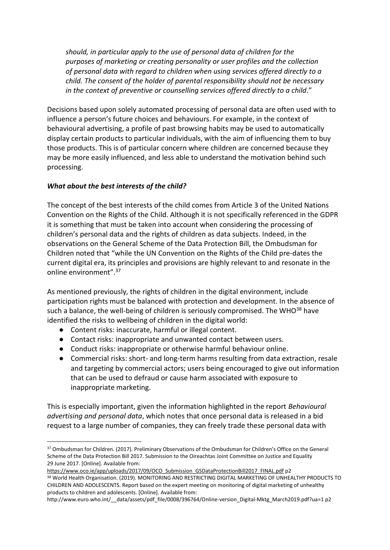*should, in particular apply to the use of personal data of children for the purposes of marketing or creating personality or user profiles and the collection of personal data with regard to children when using services offered directly to a child. The consent of the holder of parental responsibility should not be necessary*  in the context of preventive or counselling services offered directly to a child."

Decisions based upon solely automated processing of personal data are often used with to influence a person's future choices and behaviours. For example, in the context of behavioural advertising, a profile of past browsing habits may be used to automatically display certain products to particular individuals, with the aim of influencing them to buy those products. This is of particular concern where children are concerned because they may be more easily influenced, and less able to understand the motivation behind such processing.

## *What about the best interests of the child?*

The concept of the best interests of the child comes from Article 3 of the United Nations Convention on the Rights of the Child. Although it is not specifically referenced in the GDPR it is something that must be taken into account when considering the processing of children's personal data and the rights of children as data subjects. Indeed, in the observations on the General Scheme of the Data Protection Bill, the Ombudsman for Children noted that "while the UN Convention on the Rights of the Child pre-dates the current digital era, its principles and provisions are highly relevant to and resonate in the online environment".<sup>37</sup>

As mentioned previously, the rights of children in the digital environment, include participation rights must be balanced with protection and development. In the absence of such a balance, the well-being of children is seriously compromised. The WHO $^{38}$  have identified the risks to wellbeing of children in the digital world:

- Content risks: inaccurate, harmful or illegal content.
- Contact risks: inappropriate and unwanted contact between users.
- Conduct risks: inappropriate or otherwise harmful behaviour online.
- Commercial risks: short- and long-term harms resulting from data extraction, resale and targeting by commercial actors; users being encouraged to give out information that can be used to defraud or cause harm associated with exposure to inappropriate marketing.

This is especially important, given the information highlighted in the report *Behavioural advertising and personal data*, which notes that once personal data is released in a bid request to a large number of companies, they can freely trade these personal data with

```
http://www.euro.who.int/__data/assets/pdf_file/0008/396764/Online-version_Digital-Mktg_March2019.pdf?ua=1 p2
```
 $\overline{a}$ <sup>37</sup> Ombudsman for Children. (2017). Preliminary Observations of the Ombudsman for Children's Office on the General Scheme of the Data Protection Bill 2017. Submission to the Oireachtas Joint Committee on Justice and Equality 29 June 2017. [Online]. Available from:

[https://www.oco.ie/app/uploads/2017/09/OCO\\_Submission\\_GSDataProtectionBill2017\\_FINAL.pdf](https://www.oco.ie/app/uploads/2017/09/OCO_Submission_GSDataProtectionBill2017_FINAL.pdf) p2 38 World Health Organisation. (2019). MONITORING AND RESTRICTING DIGITAL MARKETING OF UNHEALTHY PRODUCTS TO CHILDREN AND ADOLESCENTS. Report based on the expert meeting on monitoring of digital marketing of unhealthy products to children and adolescents. [Online]. Available from: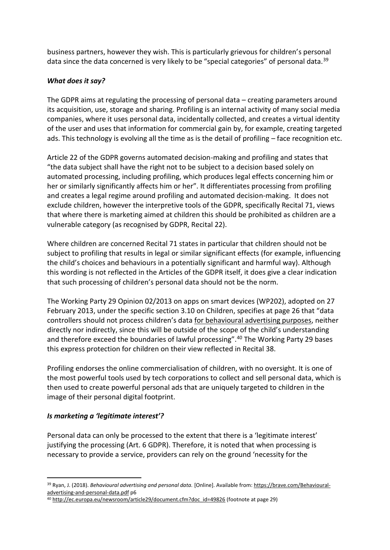business partners, however they wish. This is particularly grievous for children's personal data since the data concerned is very likely to be "special categories" of personal data.<sup>39</sup>

## *What does it say?*

The GDPR aims at regulating the processing of personal data – creating parameters around its acquisition, use, storage and sharing. Profiling is an internal activity of many social media companies, where it uses personal data, incidentally collected, and creates a virtual identity of the user and uses that information for commercial gain by, for example, creating targeted ads. This technology is evolving all the time as is the detail of profiling – face recognition etc.

Article 22 of the GDPR governs automated decision-making and profiling and states that "the data subject shall have the right not to be subject to a decision based solely on automated processing, including profiling, which produces legal effects concerning him or her or similarly significantly affects him or her". It differentiates processing from profiling and creates a legal regime around profiling and automated decision-making. It does not exclude children, however the interpretive tools of the GDPR, specifically Recital 71, views that where there is marketing aimed at children this should be prohibited as children are a vulnerable category (as recognised by GDPR, Recital 22).

Where children are concerned Recital 71 states in particular that children should not be subject to profiling that results in legal or similar significant effects (for example, influencing the child's choices and behaviours in a potentially significant and harmful way). Although this wording is not reflected in the Articles of the GDPR itself, it does give a clear indication that such processing of children's personal data should not be the norm.

The Working Party 29 Opinion 02/2013 on apps on smart devices (WP202), adopted on 27 February 2013, under the specific section 3.10 on Children, specifies at page 26 that "data controllers should not process children's data for behavioural advertising purposes, neither directly nor indirectly, since this will be outside of the scope of the child's understanding and therefore exceed the boundaries of lawful processing".<sup>40</sup> The Working Party 29 bases this express protection for children on their view reflected in Recital 38.

Profiling endorses the online commercialisation of children, with no oversight. It is one of the most powerful tools used by tech corporations to collect and sell personal data, which is then used to create powerful personal ads that are uniquely targeted to children in the image of their personal digital footprint.

## *Is marketing a 'legitimate interest'?*

 $\overline{a}$ 

Personal data can only be processed to the extent that there is a 'legitimate interest' justifying the processing (Art. 6 GDPR). Therefore, it is noted that when processing is necessary to provide a service, providers can rely on the ground 'necessity for the

<sup>39</sup> Ryan, J. (2018). *Behavioural advertising and personal data.* [Online]. Available from: [https://brave.com/Behavioural](https://brave.com/Behavioural-advertising-and-personal-data.pdf)[advertising-and-personal-data.pdf](https://brave.com/Behavioural-advertising-and-personal-data.pdf) p6

<sup>40</sup> [http://ec.europa.eu/newsroom/article29/document.cfm?doc\\_id=49826](http://ec.europa.eu/newsroom/article29/document.cfm?doc_id=49826) (footnote at page 29)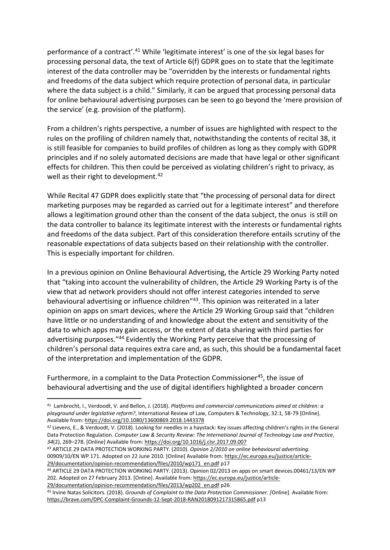performance of a contract'.<sup>41</sup> While 'legitimate interest' is one of the six legal bases for processing personal data, the text of Article 6(f) GDPR goes on to state that the legitimate interest of the data controller may be "overridden by the interests or fundamental rights and freedoms of the data subject which require protection of personal data, in particular where the data subject is a child." Similarly, it can be argued that processing personal data for online behavioural advertising purposes can be seen to go beyond the 'mere provision of the service' (e.g. provision of the platform).

From a children's rights perspective, a number of issues are highlighted with respect to the rules on the profiling of children namely that, notwithstanding the contents of recital 38, it is still feasible for companies to build profiles of children as long as they comply with GDPR principles and if no solely automated decisions are made that have legal or other significant effects for children. This then could be perceived as violating children's right to privacy, as well as their right to development.<sup>42</sup>

While Recital 47 GDPR does explicitly state that "the processing of personal data for direct marketing purposes may be regarded as carried out for a legitimate interest" and therefore allows a legitimation ground other than the consent of the data subject, the onus is still on the data controller to balance its legitimate interest with the interests or fundamental rights and freedoms of the data subject. Part of this consideration therefore entails scrutiny of the reasonable expectations of data subjects based on their relationship with the controller. This is especially important for children.

In a previous opinion on Online Behavioural Advertising, the Article 29 Working Party noted that "taking into account the vulnerability of children, the Article 29 Working Party is of the view that ad network providers should not offer interest categories intended to serve behavioural advertising or influence children"<sup>43</sup>. This opinion was reiterated in a later opinion on apps on smart devices, where the Article 29 Working Group said that "children have little or no understanding of and knowledge about the extent and sensitivity of the data to which apps may gain access, or the extent of data sharing with third parties for advertising purposes."<sup>44</sup> Evidently the Working Party perceive that the processing of children's personal data requires extra care and, as such, this should be a fundamental facet of the interpretation and implementation of the GDPR.

Furthermore, in a complaint to the Data Protection Commissioner<sup>45</sup>, the issue of behavioural advertising and the use of digital identifiers highlighted a broader concern

 $\overline{a}$ 41 Lambrecht, I., Verdoodt, V. and Bellon, J. (2018). *Platforms and commercial communications aimed at children: a playground under legislative reform?*, International Review of Law, Computers & Technology, 32:1, 58-79 [Online]. Available from[: https://doi.org/10.1080/13600869.2018.1443378](https://doi.org/10.1080/13600869.2018.1443378)

<sup>42</sup> Lievens, E., & Verdoodt, V. (2018). Looking for needles in a haystack: Key issues affecting children's rights in the General Data Protection Regulation. *Computer Law & Security Review: The International Journal of Technology Law and Practice*, *34*(2), 269–278. [Online] Available from[: https://doi.org/10.1016/j.clsr.2017.09.007](https://doi.org/10.1016/j.clsr.2017.09.007)

<sup>43</sup> ARTICLE 29 DATA PROTECTION WORKING PARTY. (2010). *Opinion 2/2010 on online behavioural advertising.*  00909/10/EN WP 171. Adopted on 22 June 2010. [Online] Available from[: https://ec.europa.eu/justice/article-](https://ec.europa.eu/justice/article-29/documentation/opinion-recommendation/files/2010/wp171_en.pdf)[29/documentation/opinion-recommendation/files/2010/wp171\\_en.pdf](https://ec.europa.eu/justice/article-29/documentation/opinion-recommendation/files/2010/wp171_en.pdf) p17

<sup>44</sup> ARTICLE 29 DATA PROTECTION WORKING PARTY. (2013). Opinion 02/2013 on apps on smart devices.00461/13/EN WP 202. Adopted on 27 February 2013. [Online]. Available from[: https://ec.europa.eu/justice/article-](https://ec.europa.eu/justice/article-29/documentation/opinion-recommendation/files/2013/wp202_en.pdf)[29/documentation/opinion-recommendation/files/2013/wp202\\_en.pdf](https://ec.europa.eu/justice/article-29/documentation/opinion-recommendation/files/2013/wp202_en.pdf) p26

<sup>45</sup> Irvine Natas Solicitors. (2018). *Grounds of Complaint to the Data Protection Commissioner. [*Online]. Available from: <https://brave.com/DPC-Complaint-Grounds-12-Sept-2018-RAN2018091217315865.pdf> p13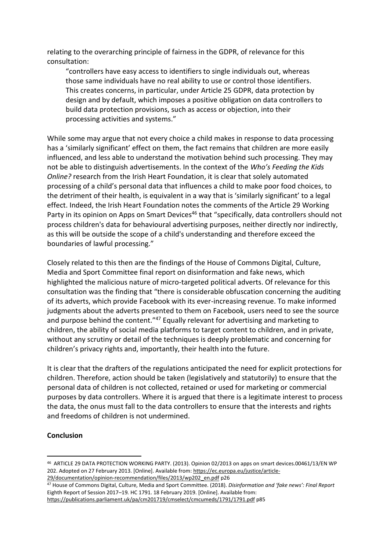relating to the overarching principle of fairness in the GDPR, of relevance for this consultation:

"controllers have easy access to identifiers to single individuals out, whereas those same individuals have no real ability to use or control those identifiers. This creates concerns, in particular, under Article 25 GDPR, data protection by design and by default, which imposes a positive obligation on data controllers to build data protection provisions, such as access or objection, into their processing activities and systems."

While some may argue that not every choice a child makes in response to data processing has a 'similarly significant' effect on them, the fact remains that children are more easily influenced, and less able to understand the motivation behind such processing. They may not be able to distinguish advertisements. In the context of the *Who's Feeding the Kids Online?* research from the Irish Heart Foundation, it is clear that solely automated processing of a child's personal data that influences a child to make poor food choices, to the detriment of their health, is equivalent in a way that is 'similarly significant' to a legal effect. Indeed, the Irish Heart Foundation notes the comments of the Article 29 Working Party in its opinion on Apps on Smart Devices<sup>46</sup> that "specifically, data controllers should not process children's data for behavioural advertising purposes, neither directly nor indirectly, as this will be outside the scope of a child's understanding and therefore exceed the boundaries of lawful processing."

Closely related to this then are the findings of the House of Commons Digital, Culture, Media and Sport Committee final report on disinformation and fake news, which highlighted the malicious nature of micro-targeted political adverts. Of relevance for this consultation was the finding that "there is considerable obfuscation concerning the auditing of its adverts, which provide Facebook with its ever-increasing revenue. To make informed judgments about the adverts presented to them on Facebook, users need to see the source and purpose behind the content."<sup>47</sup> Equally relevant for advertising and marketing to children, the ability of social media platforms to target content to children, and in private, without any scrutiny or detail of the techniques is deeply problematic and concerning for children's privacy rights and, importantly, their health into the future.

It is clear that the drafters of the regulations anticipated the need for explicit protections for children. Therefore, action should be taken (legislatively and statutorily) to ensure that the personal data of children is not collected, retained or used for marketing or commercial purposes by data controllers. Where it is argued that there is a legitimate interest to process the data, the onus must fall to the data controllers to ensure that the interests and rights and freedoms of children is not undermined.

## **Conclusion**

<sup>46</sup> ARTICLE 29 DATA PROTECTION WORKING PARTY. (2013). Opinion 02/2013 on apps on smart devices.00461/13/EN WP 202. Adopted on 27 February 2013. [Online]. Available from: [https://ec.europa.eu/justice/article-](https://ec.europa.eu/justice/article-29/documentation/opinion-recommendation/files/2013/wp202_en.pdf)[29/documentation/opinion-recommendation/files/2013/wp202\\_en.pdf](https://ec.europa.eu/justice/article-29/documentation/opinion-recommendation/files/2013/wp202_en.pdf) p26

<sup>47</sup> House of Commons Digital, Culture, Media and Sport Committee. (2018). *Disinformation and 'fake news': Final Report*  Eighth Report of Session 2017–19*.* HC 1791. 18 February 2019. [Online]. Available from: <https://publications.parliament.uk/pa/cm201719/cmselect/cmcumeds/1791/1791.pdf> p85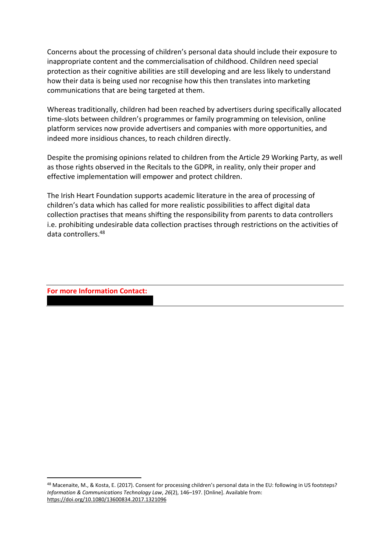Concerns about the processing of children's personal data should include their exposure to inappropriate content and the commercialisation of childhood. Children need special protection as their cognitive abilities are still developing and are less likely to understand how their data is being used nor recognise how this then translates into marketing communications that are being targeted at them.

Whereas traditionally, children had been reached by advertisers during specifically allocated time-slots between children's programmes or family programming on television, online platform services now provide advertisers and companies with more opportunities, and indeed more insidious chances, to reach children directly.

Despite the promising opinions related to children from the Article 29 Working Party, as well as those rights observed in the Recitals to the GDPR, in reality, only their proper and effective implementation will empower and protect children.

The Irish Heart Foundation supports academic literature in the area of processing of children's data which has called for more realistic possibilities to affect digital data collection practises that means shifting the responsibility from parents to data controllers i.e. prohibiting undesirable data collection practises through restrictions on the activities of data controllers.<sup>48</sup>

**For more Information Contact:**

<sup>48</sup> Macenaite, M., & Kosta, E. (2017). Consent for processing children's personal data in the EU: following in US footsteps? *Information & Communications Technology Law*, *26*(2), 146–197. [Online]. Available from: <https://doi.org/10.1080/13600834.2017.1321096>